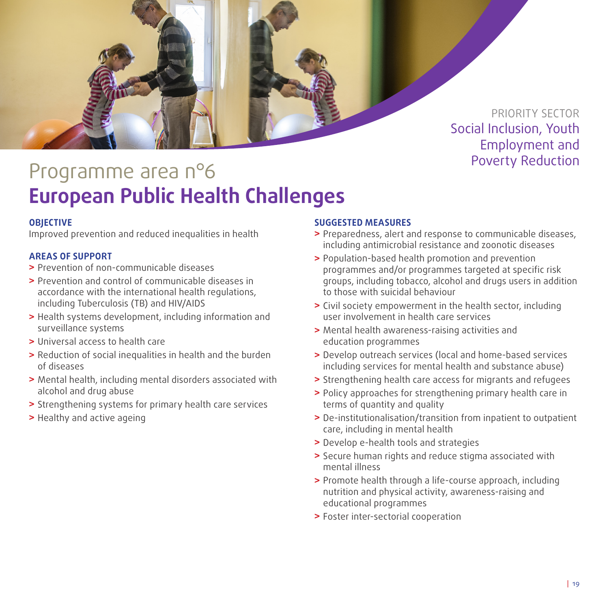

Programme area n°6 entre and the reduction Reduction **European Public Health Challenges**

# **OBJECTIVE**

Improved prevention and reduced inequalities in health

## **AREAS OF SUPPORT**

- **>** Prevention of non-communicable diseases
- **>** Prevention and control of communicable diseases in accordance with the international health regulations, including Tuberculosis (TB) and HIV/AIDS
- **>** Health systems development, including information and surveillance systems
- **>** Universal access to health care
- **>** Reduction of social inequalities in health and the burden of diseases
- **>** Mental health, including mental disorders associated with alcohol and drug abuse
- **>** Strengthening systems for primary health care services
- **>** Healthy and active ageing

### **SUGGESTED MEASURES**

- **>** Preparedness, alert and response to communicable diseases, including antimicrobial resistance and zoonotic diseases
- **>** Population-based health promotion and prevention programmes and/or programmes targeted at specific risk groups, including tobacco, alcohol and drugs users in addition to those with suicidal behaviour
- **>** Civil society empowerment in the health sector, including user involvement in health care services
- **>** Mental health awareness-raising activities and education programmes
- **>** Develop outreach services (local and home-based services including services for mental health and substance abuse)
- **>** Strengthening health care access for migrants and refugees
- **>** Policy approaches for strengthening primary health care in terms of quantity and quality
- **>** De-institutionalisation/transition from inpatient to outpatient care, including in mental health
- **>** Develop e-health tools and strategies
- **>** Secure human rights and reduce stigma associated with mental illness
- **>** Promote health through a life-course approach, including nutrition and physical activity, awareness-raising and educational programmes
- **>** Foster inter-sectorial cooperation